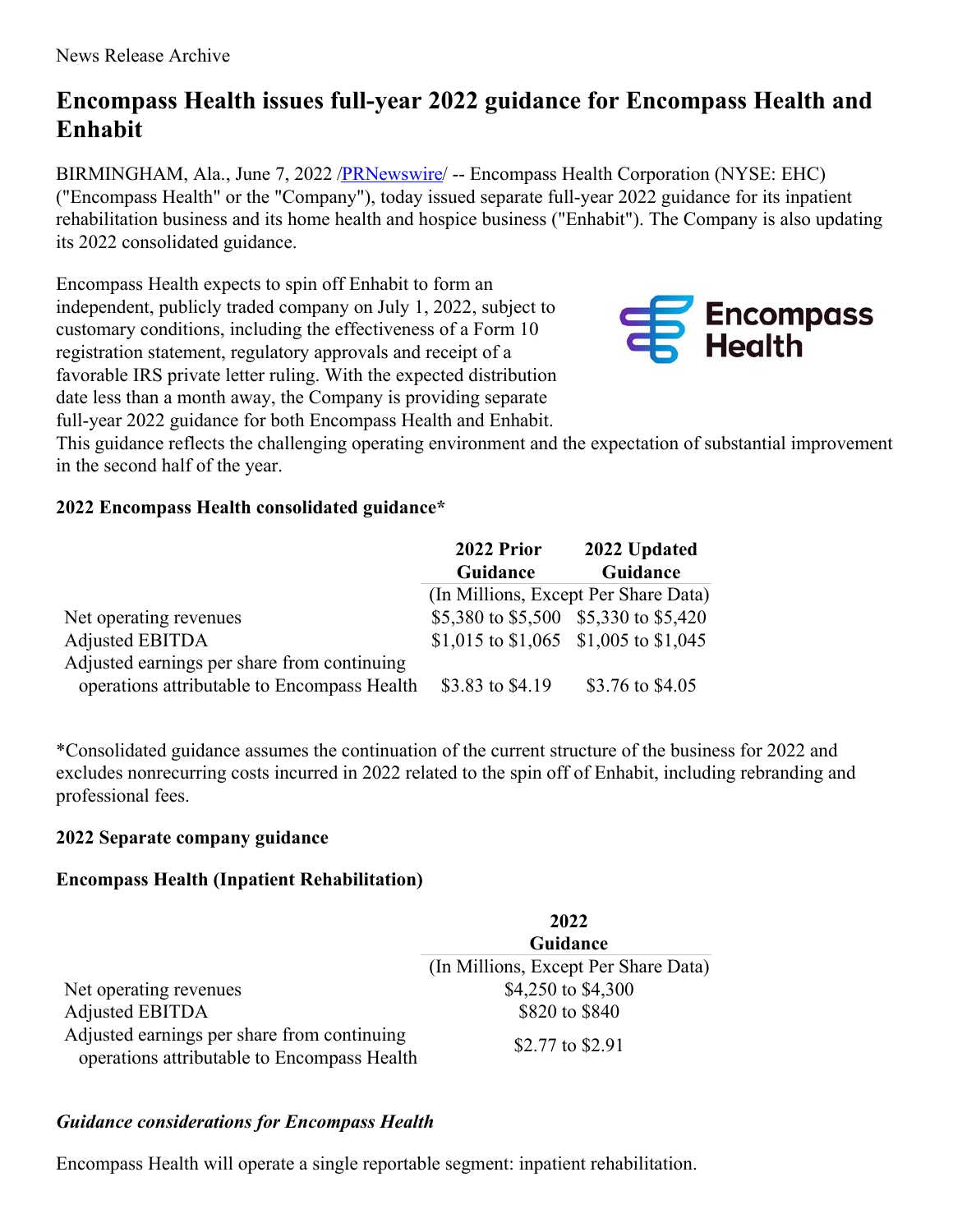# **Encompass Health issues full-year 2022 guidance for Encompass Health and Enhabit**

BIRMINGHAM, Ala., June 7, 2022 / PRNewswire /-- Encompass Health Corporation (NYSE: EHC) ("Encompass Health" or the "Company"), today issued separate full-year 2022 guidance for its inpatient rehabilitation business and its home health and hospice business ("Enhabit"). The Company is also updating its 2022 consolidated guidance.

Encompass Health expects to spin off Enhabit to form an independent, publicly traded company on July 1, 2022, subject to customary conditions, including the effectiveness of a Form 10 registration statement, regulatory approvals and receipt of a favorable IRS private letter ruling. With the expected distribution date less than a month away, the Company is providing separate full-year 2022 guidance for both Encompass Health and Enhabit.



This guidance reflects the challenging operating environment and the expectation of substantial improvement in the second half of the year.

# **2022 Encompass Health consolidated guidance\***

|                                             | 2022 Prior                           | 2022 Updated                          |
|---------------------------------------------|--------------------------------------|---------------------------------------|
|                                             | Guidance                             | Guidance                              |
|                                             | (In Millions, Except Per Share Data) |                                       |
| Net operating revenues                      |                                      | \$5,380 to \$5,500 \$5,330 to \$5,420 |
| <b>Adjusted EBITDA</b>                      |                                      | \$1,015 to \$1,065 \$1,005 to \$1,045 |
| Adjusted earnings per share from continuing |                                      |                                       |
| operations attributable to Encompass Health | \$3.83 to \$4.19                     | \$3.76 to \$4.05                      |

\*Consolidated guidance assumes the continuation of the current structure of the business for 2022 and excludes nonrecurring costs incurred in 2022 related to the spin off of Enhabit, including rebranding and professional fees.

# **2022 Separate company guidance**

# **Encompass Health (Inpatient Rehabilitation)**

|                                                                                            | 2022                                 |  |
|--------------------------------------------------------------------------------------------|--------------------------------------|--|
|                                                                                            | Guidance                             |  |
|                                                                                            | (In Millions, Except Per Share Data) |  |
| Net operating revenues                                                                     | \$4,250 to \$4,300                   |  |
| Adjusted EBITDA                                                                            | \$820 to \$840                       |  |
| Adjusted earnings per share from continuing<br>operations attributable to Encompass Health | \$2.77 to \$2.91                     |  |

# *Guidance considerations for Encompass Health*

Encompass Health will operate a single reportable segment: inpatient rehabilitation.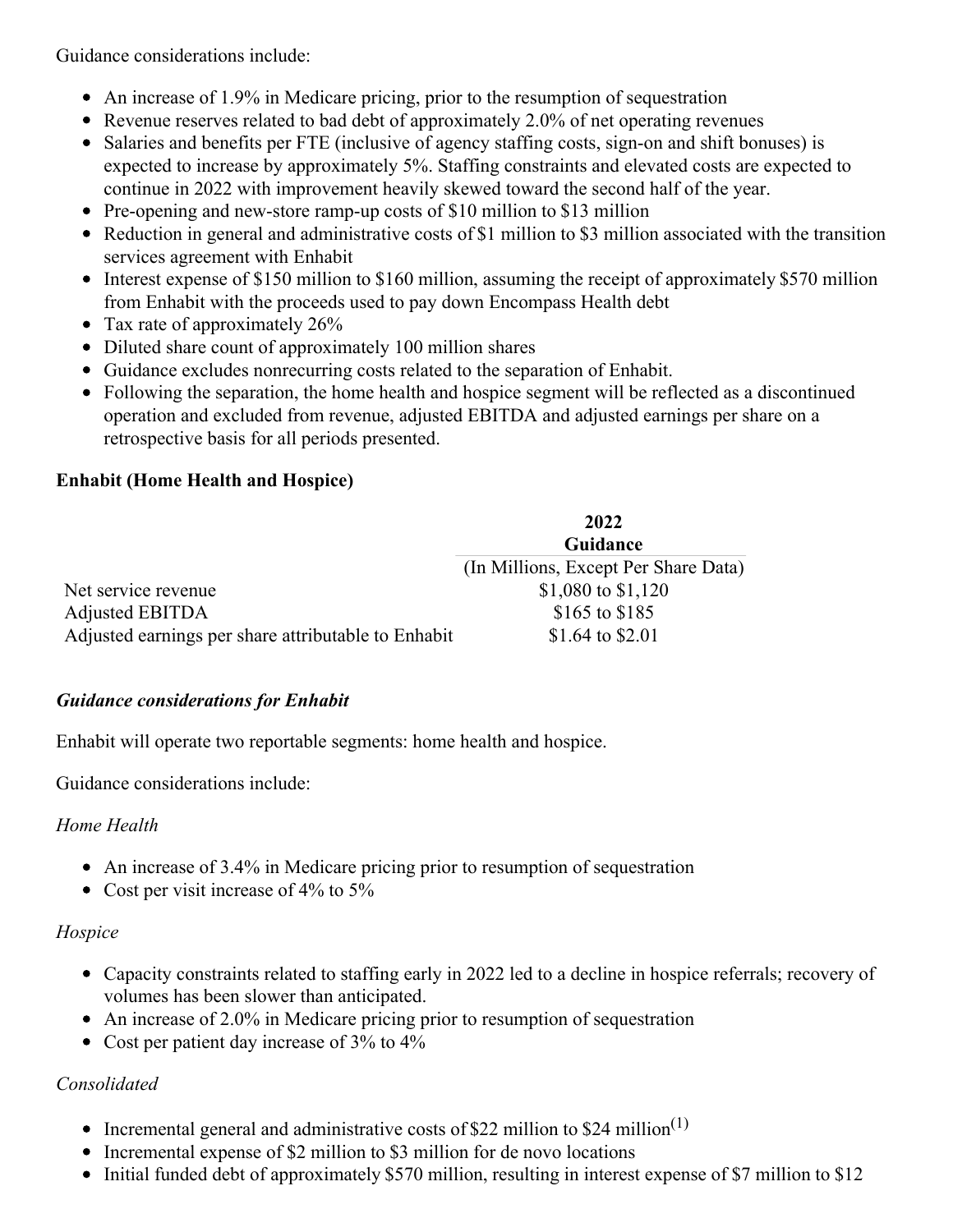Guidance considerations include:

- An increase of 1.9% in Medicare pricing, prior to the resumption of sequestration
- Revenue reserves related to bad debt of approximately 2.0% of net operating revenues
- Salaries and benefits per FTE (inclusive of agency staffing costs, sign-on and shift bonuses) is expected to increase by approximately 5%. Staffing constraints and elevated costs are expected to continue in 2022 with improvement heavily skewed toward the second half of the year.
- Pre-opening and new-store ramp-up costs of \$10 million to \$13 million
- Reduction in general and administrative costs of \$1 million to \$3 million associated with the transition services agreement with Enhabit
- Interest expense of \$150 million to \$160 million, assuming the receipt of approximately \$570 million from Enhabit with the proceeds used to pay down Encompass Health debt
- Tax rate of approximately 26%
- Diluted share count of approximately 100 million shares
- Guidance excludes nonrecurring costs related to the separation of Enhabit.
- Following the separation, the home health and hospice segment will be reflected as a discontinued operation and excluded from revenue, adjusted EBITDA and adjusted earnings per share on a retrospective basis for all periods presented.

# **Enhabit (Home Health and Hospice)**

|                                                     | 2022                                 |  |
|-----------------------------------------------------|--------------------------------------|--|
|                                                     | Guidance                             |  |
|                                                     | (In Millions, Except Per Share Data) |  |
| Net service revenue                                 | \$1,080 to \$1,120                   |  |
| <b>Adjusted EBITDA</b>                              | \$165 to \$185                       |  |
| Adjusted earnings per share attributable to Enhabit | \$1.64 to \$2.01                     |  |

# *Guidance considerations for Enhabit*

Enhabit will operate two reportable segments: home health and hospice.

Guidance considerations include:

# *Home Health*

- An increase of 3.4% in Medicare pricing prior to resumption of sequestration
- Cost per visit increase of 4% to 5%

# *Hospice*

- Capacity constraints related to staffing early in 2022 led to a decline in hospice referrals; recovery of volumes has been slower than anticipated.
- An increase of 2.0% in Medicare pricing prior to resumption of sequestration
- Cost per patient day increase of 3% to 4%

# *Consolidated*

- Incremental general and administrative costs of \$22 million to \$24 million<sup>(1)</sup>
- Incremental expense of \$2 million to \$3 million for de novo locations
- Initial funded debt of approximately \$570 million, resulting in interest expense of \$7 million to \$12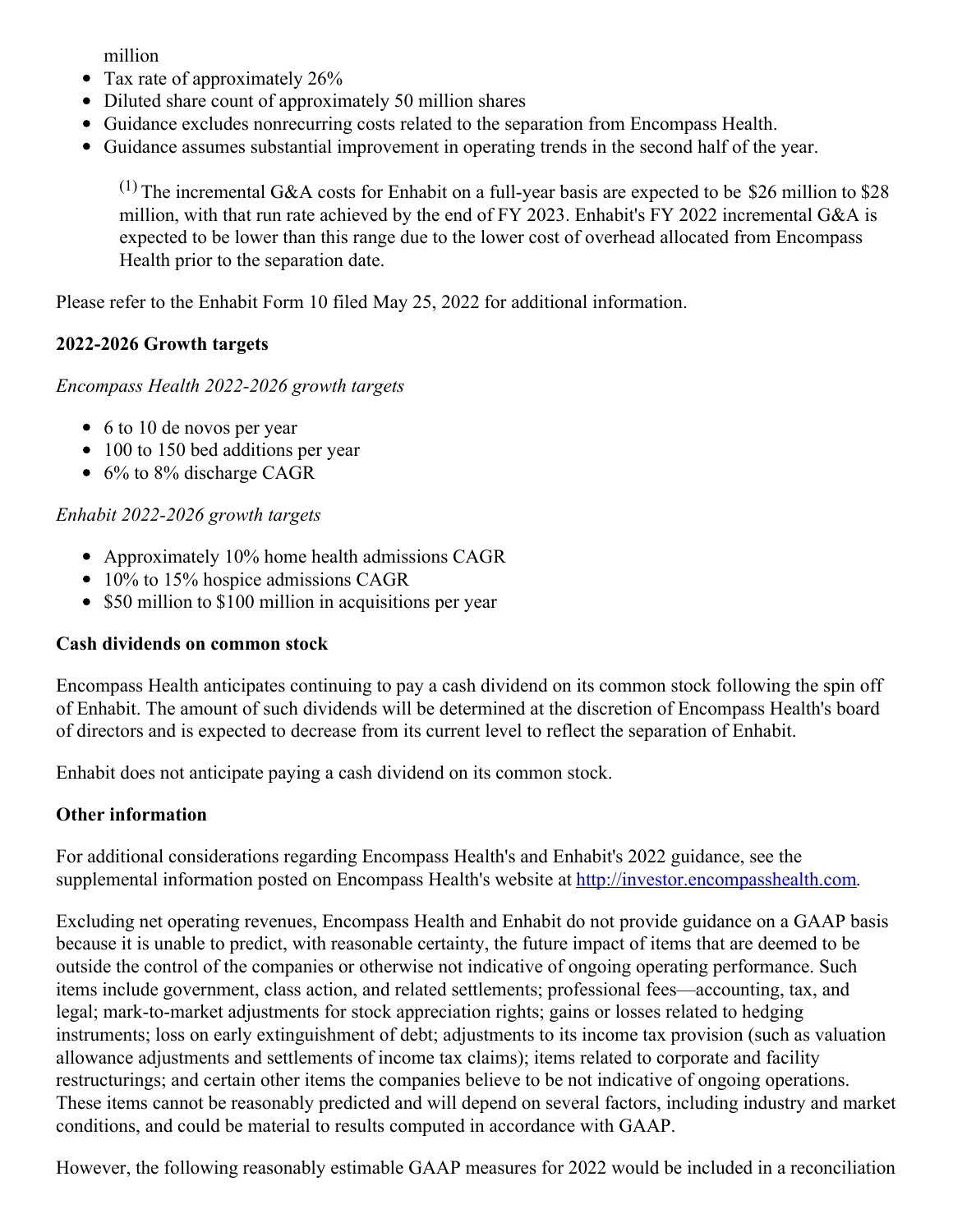million

- Tax rate of approximately 26%
- Diluted share count of approximately 50 million shares
- Guidance excludes nonrecurring costs related to the separation from Encompass Health.
- Guidance assumes substantial improvement in operating trends in the second half of the year.

 $(1)$  The incremental G&A costs for Enhabit on a full-year basis are expected to be \$26 million to \$28 million, with that run rate achieved by the end of FY 2023. Enhabit's FY 2022 incremental G&A is expected to be lower than this range due to the lower cost of overhead allocated from Encompass Health prior to the separation date.

Please refer to the Enhabit Form 10 filed May 25, 2022 for additional information.

# **2022-2026 Growth targets**

#### *Encompass Health 2022-2026 growth targets*

- 6 to 10 de novos per year
- 100 to 150 bed additions per year
- $\bullet$  6% to 8% discharge CAGR

#### *Enhabit 2022-2026 growth targets*

- Approximately 10% home health admissions CAGR
- $\bullet$  10% to 15% hospice admissions CAGR
- \$50 million to \$100 million in acquisitions per year

#### **Cash dividends on common stock**

Encompass Health anticipates continuing to pay a cash dividend on its common stock following the spin off of Enhabit. The amount of such dividends will be determined at the discretion of Encompass Health's board of directors and is expected to decrease from its current level to reflect the separation of Enhabit.

Enhabit does not anticipate paying a cash dividend on its common stock.

# **Other information**

For additional considerations regarding Encompass Health's and Enhabit's 2022 guidance, see the supplemental information posted on Encompass Health's website at <http://investor.encompasshealth.com>.

Excluding net operating revenues, Encompass Health and Enhabit do not provide guidance on a GAAP basis because it is unable to predict, with reasonable certainty, the future impact of items that are deemed to be outside the control of the companies or otherwise not indicative of ongoing operating performance. Such items include government, class action, and related settlements; professional fees—accounting, tax, and legal; mark-to-market adjustments for stock appreciation rights; gains or losses related to hedging instruments; loss on early extinguishment of debt; adjustments to its income tax provision (such as valuation allowance adjustments and settlements of income tax claims); items related to corporate and facility restructurings; and certain other items the companies believe to be not indicative of ongoing operations. These items cannot be reasonably predicted and will depend on several factors, including industry and market conditions, and could be material to results computed in accordance with GAAP.

However, the following reasonably estimable GAAP measures for 2022 would be included in a reconciliation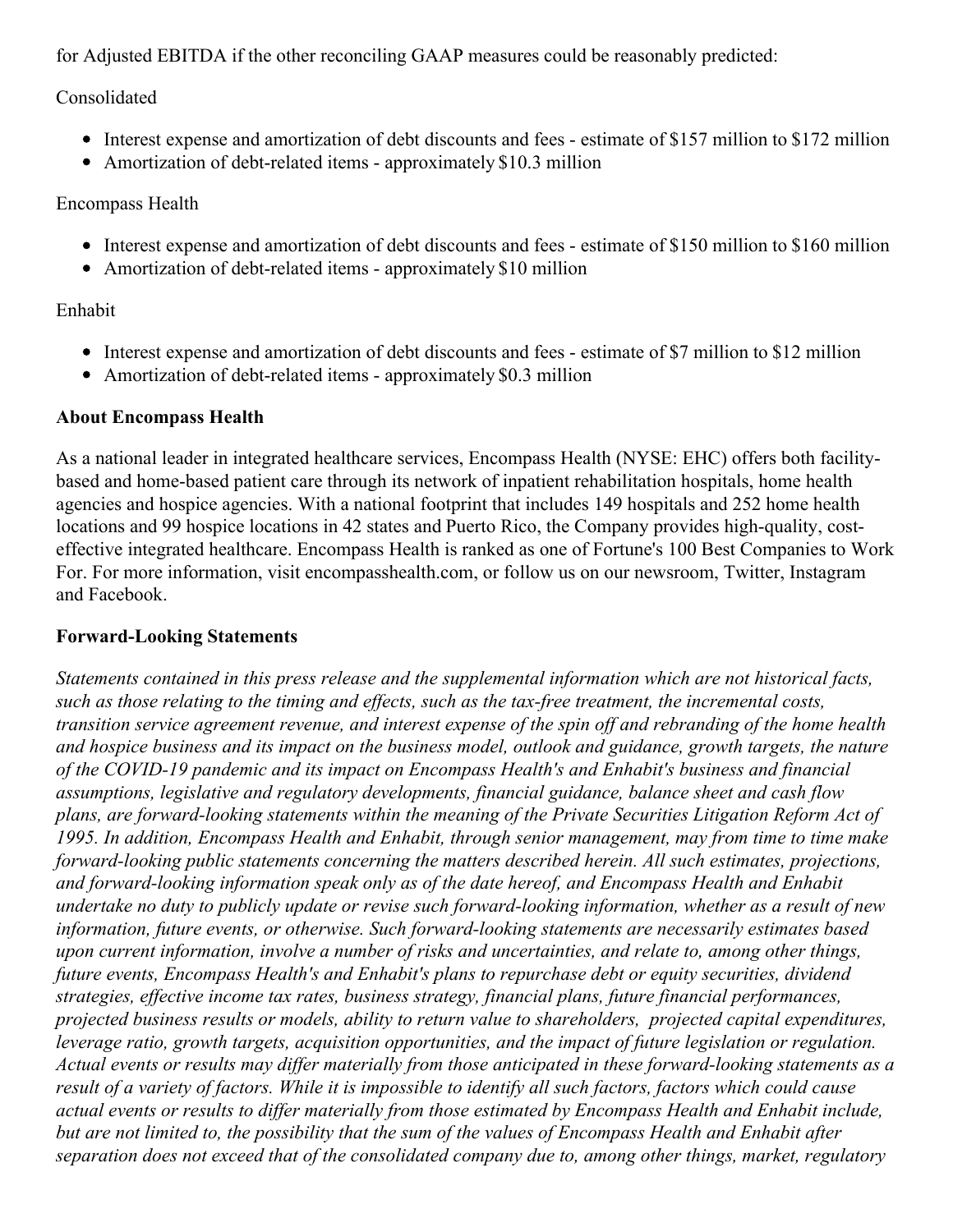for Adjusted EBITDA if the other reconciling GAAP measures could be reasonably predicted:

Consolidated

- Interest expense and amortization of debt discounts and fees estimate of \$157 million to \$172 million
- Amortization of debt-related items approximately \$10.3 million

Encompass Health

- Interest expense and amortization of debt discounts and fees estimate of \$150 million to \$160 million
- Amortization of debt-related items approximately \$10 million

# Enhabit

- Interest expense and amortization of debt discounts and fees estimate of \$7 million to \$12 million
- Amortization of debt-related items approximately \$0.3 million

# **About Encompass Health**

As a national leader in integrated healthcare services, Encompass Health (NYSE: EHC) offers both facilitybased and home-based patient care through its network of inpatient rehabilitation hospitals, home health agencies and hospice agencies. With a national footprint that includes 149 hospitals and 252 home health locations and 99 hospice locations in 42 states and Puerto Rico, the Company provides high-quality, costeffective integrated healthcare. Encompass Health is ranked as one of Fortune's 100 Best Companies to Work For. For more information, visit encompasshealth.com, or follow us on our newsroom, Twitter, Instagram and Facebook.

# **Forward-Looking Statements**

*Statements contained in this press release and the supplemental information which are not historical facts,* such as those relating to the timing and effects, such as the tax-free treatment, the incremental costs, transition service agreement revenue, and interest expense of the spin off and rebranding of the home health and hospice business and its impact on the business model, outlook and guidance, growth targets, the nature *of the COVID-19 pandemic and its impact on Encompass Health's and Enhabit's business and financial assumptions, legislative and regulatory developments, financial guidance, balance sheet and cash flow plans, are forward-looking statements within the meaning of the Private Securities Litigation Reform Act of 1995. In addition, Encompass Health and Enhabit, through senior management, may from time to time make forward-looking public statements concerning the matters described herein. All such estimates, projections, and forward-looking information speak only as of the date hereof, and Encompass Health and Enhabit* undertake no duty to publicly update or revise such forward-looking information, whether as a result of new *information, future events, or otherwise. Such forward-looking statements are necessarily estimates based upon current information, involve a number of risks and uncertainties, and relate to, among other things, future events, Encompass Health's and Enhabit's plans to repurchase debt or equity securities, dividend strategies, ef ective income tax rates, business strategy, financial plans, future financial performances, projected business results or models, ability to return value to shareholders, projected capital expenditures, leverage ratio, growth targets, acquisition opportunities, and the impact of future legislation or regulation.* Actual events or results may differ materially from those anticipated in these forward-looking statements as a result of a variety of factors. While it is impossible to identify all such factors, factors which could cause actual events or results to differ materially from those estimated by Encompass Health and Enhabit include, but are not limited to, the possibility that the sum of the values of Encompass Health and Enhabit after *separation does not exceed that of the consolidated company due to, among other things, market, regulatory*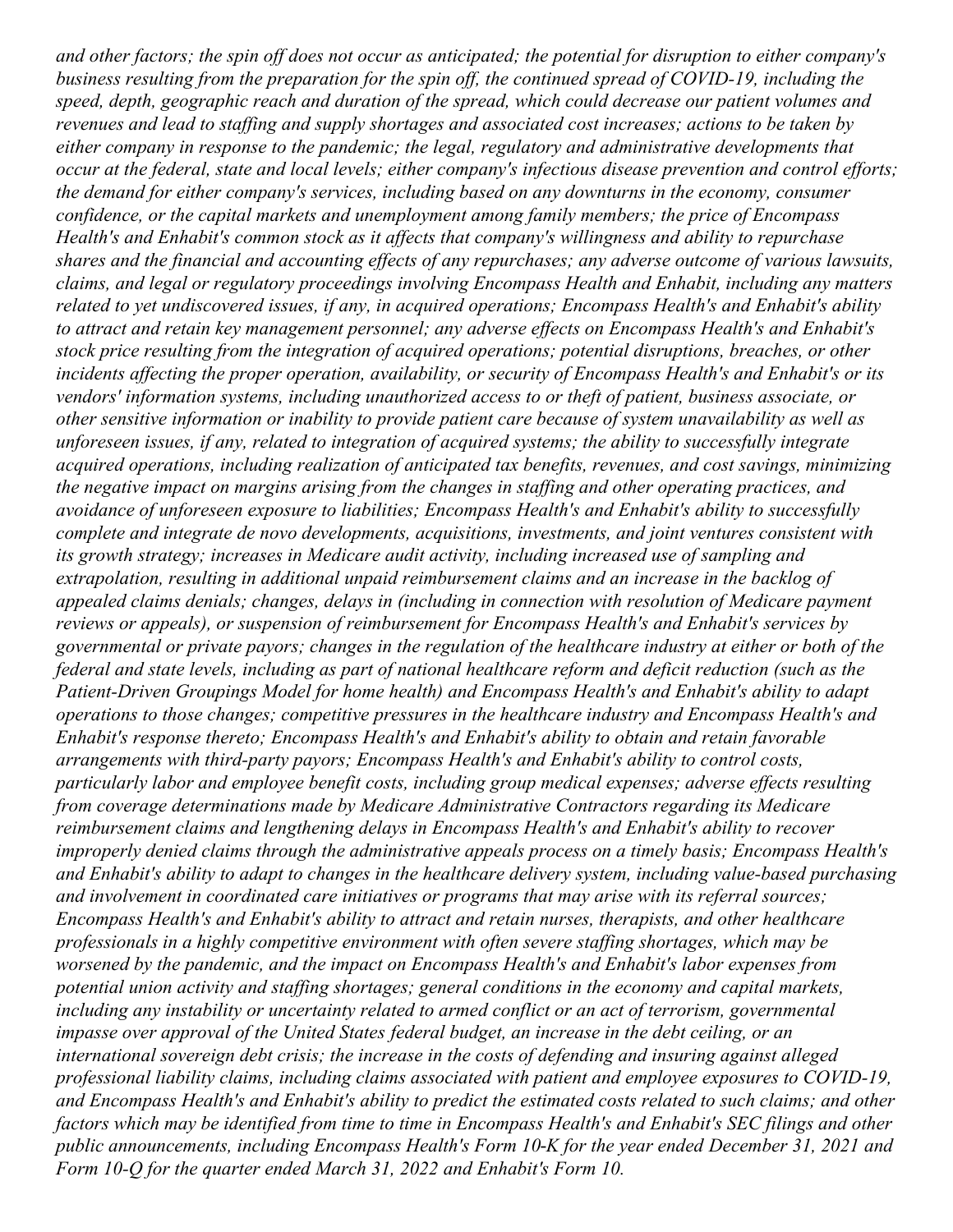and other factors; the spin off does not occur as anticipated; the potential for disruption to either company's *business resulting from the preparation for the spin of , the continued spread of COVID-19, including the speed, depth, geographic reach and duration of the spread, which could decrease our patient volumes and* revenues and lead to staffing and supply shortages and associated cost increases; actions to be taken by *either company in response to the pandemic; the legal, regulatory and administrative developments that* occur at the federal, state and local levels; either company's infectious disease prevention and control efforts; *the demand for either company's services, including based on any downturns in the economy, consumer confidence, or the capital markets and unemployment among family members; the price of Encompass Health's and Enhabit's common stock as it af ects that company's willingness and ability to repurchase* shares and the financial and accounting effects of any repurchases; any adverse outcome of various lawsuits, *claims, and legal or regulatory proceedings involving Encompass Health and Enhabit, including any matters related to yet undiscovered issues, if any, in acquired operations; Encompass Health's and Enhabit's ability to attract and retain key management personnel; any adverse ef ects on Encompass Health's and Enhabit's stock price resulting from the integration of acquired operations; potential disruptions, breaches, or other incidents af ecting the proper operation, availability, or security of Encompass Health's and Enhabit's or its vendors' information systems, including unauthorized access to or theft of patient, business associate, or other sensitive information or inability to provide patient care because of system unavailability as well as unforeseen issues, if any, related to integration of acquired systems; the ability to successfully integrate acquired operations, including realization of anticipated tax benefits, revenues, and cost savings, minimizing the negative impact on margins arising from the changes in staf ing and other operating practices, and avoidance of unforeseen exposure to liabilities; Encompass Health's and Enhabit's ability to successfully complete and integrate de novo developments, acquisitions, investments, and joint ventures consistent with its growth strategy; increases in Medicare audit activity, including increased use of sampling and extrapolation, resulting in additional unpaid reimbursement claims and an increase in the backlog of appealed claims denials; changes, delays in (including in connection with resolution of Medicare payment reviews or appeals), or suspension of reimbursement for Encompass Health's and Enhabit's services by* governmental or private payors; changes in the regulation of the healthcare industry at either or both of the federal and state levels, including as part of national healthcare reform and deficit reduction (such as the *Patient-Driven Groupings Model for home health) and Encompass Health's and Enhabit's ability to adapt operations to those changes; competitive pressures in the healthcare industry and Encompass Health's and Enhabit's response thereto; Encompass Health's and Enhabit's ability to obtain and retain favorable arrangements with third-party payors; Encompass Health's and Enhabit's ability to control costs, particularly labor and employee benefit costs, including group medical expenses; adverse ef ects resulting from coverage determinations made by Medicare Administrative Contractors regarding its Medicare reimbursement claims and lengthening delays in Encompass Health's and Enhabit's ability to recover improperly denied claims through the administrative appeals process on a timely basis; Encompass Health's and Enhabit's ability to adapt to changes in the healthcare delivery system, including value-based purchasing and involvement in coordinated care initiatives or programs that may arise with its referral sources; Encompass Health's and Enhabit's ability to attract and retain nurses, therapists, and other healthcare professionals in a highly competitive environment with often severe staf ing shortages, which may be worsened by the pandemic, and the impact on Encompass Health's and Enhabit's labor expenses from potential union activity and staf ing shortages; general conditions in the economy and capital markets, including any instability or uncertainty related to armed conflict or an act of terrorism, governmental impasse over approval of the United States federal budget, an increase in the debt ceiling, or an international sovereign debt crisis; the increase in the costs of defending and insuring against alleged professional liability claims, including claims associated with patient and employee exposures to COVID-19,* and Encompass Health's and Enhabit's ability to predict the estimated costs related to such claims; and other factors which may be identified from time to time in Encompass Health's and Enhabit's SEC filings and other *public announcements, including Encompass Health's Form 10‑K for the year ended December 31, 2021 and Form 10-Q for the quarter ended March 31, 2022 and Enhabit's Form 10.*